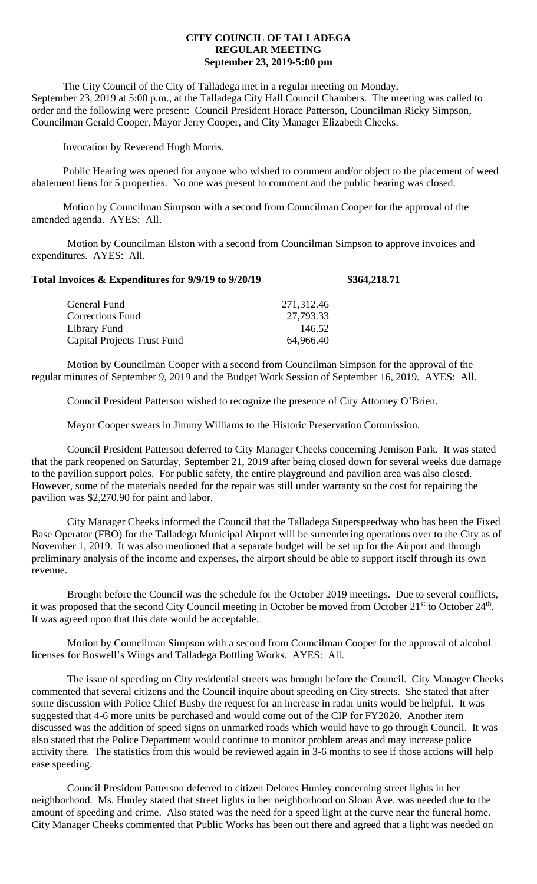## **CITY COUNCIL OF TALLADEGA REGULAR MEETING September 23, 2019-5:00 pm**

The City Council of the City of Talladega met in a regular meeting on Monday, September 23, 2019 at 5:00 p.m., at the Talladega City Hall Council Chambers. The meeting was called to order and the following were present: Council President Horace Patterson, Councilman Ricky Simpson, Councilman Gerald Cooper, Mayor Jerry Cooper, and City Manager Elizabeth Cheeks.

Invocation by Reverend Hugh Morris.

Public Hearing was opened for anyone who wished to comment and/or object to the placement of weed abatement liens for 5 properties. No one was present to comment and the public hearing was closed.

Motion by Councilman Simpson with a second from Councilman Cooper for the approval of the amended agenda. AYES: All.

Motion by Councilman Elston with a second from Councilman Simpson to approve invoices and expenditures. AYES: All.

| Total Invoices & Expenditures for 9/9/19 to 9/20/19 |            | \$364,218.71 |
|-----------------------------------------------------|------------|--------------|
| General Fund                                        | 271,312.46 |              |
| <b>Corrections Fund</b>                             | 27,793.33  |              |
| Library Fund                                        | 146.52     |              |
| <b>Capital Projects Trust Fund</b>                  | 64,966.40  |              |

Motion by Councilman Cooper with a second from Councilman Simpson for the approval of the regular minutes of September 9, 2019 and the Budget Work Session of September 16, 2019. AYES: All.

Council President Patterson wished to recognize the presence of City Attorney O'Brien.

Mayor Cooper swears in Jimmy Williams to the Historic Preservation Commission.

Council President Patterson deferred to City Manager Cheeks concerning Jemison Park. It was stated that the park reopened on Saturday, September 21, 2019 after being closed down for several weeks due damage to the pavilion support poles. For public safety, the entire playground and pavilion area was also closed. However, some of the materials needed for the repair was still under warranty so the cost for repairing the pavilion was \$2,270.90 for paint and labor.

City Manager Cheeks informed the Council that the Talladega Superspeedway who has been the Fixed Base Operator (FBO) for the Talladega Municipal Airport will be surrendering operations over to the City as of November 1, 2019. It was also mentioned that a separate budget will be set up for the Airport and through preliminary analysis of the income and expenses, the airport should be able to support itself through its own revenue.

Brought before the Council was the schedule for the October 2019 meetings. Due to several conflicts, it was proposed that the second City Council meeting in October be moved from October 21<sup>st</sup> to October 24<sup>th</sup>. It was agreed upon that this date would be acceptable.

Motion by Councilman Simpson with a second from Councilman Cooper for the approval of alcohol licenses for Boswell's Wings and Talladega Bottling Works. AYES: All.

The issue of speeding on City residential streets was brought before the Council. City Manager Cheeks commented that several citizens and the Council inquire about speeding on City streets. She stated that after some discussion with Police Chief Busby the request for an increase in radar units would be helpful. It was suggested that 4-6 more units be purchased and would come out of the CIP for FY2020. Another item discussed was the addition of speed signs on unmarked roads which would have to go through Council. It was also stated that the Police Department would continue to monitor problem areas and may increase police activity there. The statistics from this would be reviewed again in 3-6 months to see if those actions will help ease speeding.

Council President Patterson deferred to citizen Delores Hunley concerning street lights in her neighborhood. Ms. Hunley stated that street lights in her neighborhood on Sloan Ave. was needed due to the amount of speeding and crime. Also stated was the need for a speed light at the curve near the funeral home. City Manager Cheeks commented that Public Works has been out there and agreed that a light was needed on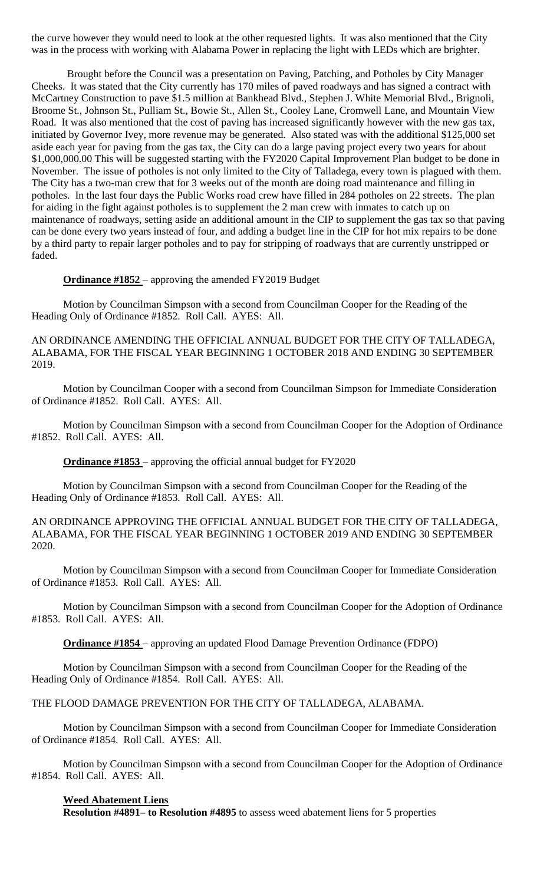the curve however they would need to look at the other requested lights. It was also mentioned that the City was in the process with working with Alabama Power in replacing the light with LEDs which are brighter.

Brought before the Council was a presentation on Paving, Patching, and Potholes by City Manager Cheeks. It was stated that the City currently has 170 miles of paved roadways and has signed a contract with McCartney Construction to pave \$1.5 million at Bankhead Blvd., Stephen J. White Memorial Blvd., Brignoli, Broome St., Johnson St., Pulliam St., Bowie St., Allen St., Cooley Lane, Cromwell Lane, and Mountain View Road. It was also mentioned that the cost of paving has increased significantly however with the new gas tax, initiated by Governor Ivey, more revenue may be generated. Also stated was with the additional \$125,000 set aside each year for paving from the gas tax, the City can do a large paving project every two years for about \$1,000,000.00 This will be suggested starting with the FY2020 Capital Improvement Plan budget to be done in November. The issue of potholes is not only limited to the City of Talladega, every town is plagued with them. The City has a two-man crew that for 3 weeks out of the month are doing road maintenance and filling in potholes. In the last four days the Public Works road crew have filled in 284 potholes on 22 streets. The plan for aiding in the fight against potholes is to supplement the 2 man crew with inmates to catch up on maintenance of roadways, setting aside an additional amount in the CIP to supplement the gas tax so that paving can be done every two years instead of four, and adding a budget line in the CIP for hot mix repairs to be done by a third party to repair larger potholes and to pay for stripping of roadways that are currently unstripped or faded.

**Ordinance #1852** – approving the amended FY2019 Budget

Motion by Councilman Simpson with a second from Councilman Cooper for the Reading of the Heading Only of Ordinance #1852. Roll Call. AYES: All.

AN ORDINANCE AMENDING THE OFFICIAL ANNUAL BUDGET FOR THE CITY OF TALLADEGA, ALABAMA, FOR THE FISCAL YEAR BEGINNING 1 OCTOBER 2018 AND ENDING 30 SEPTEMBER 2019.

Motion by Councilman Cooper with a second from Councilman Simpson for Immediate Consideration of Ordinance #1852. Roll Call. AYES: All.

Motion by Councilman Simpson with a second from Councilman Cooper for the Adoption of Ordinance #1852. Roll Call. AYES: All.

**Ordinance #1853** – approving the official annual budget for FY2020

Motion by Councilman Simpson with a second from Councilman Cooper for the Reading of the Heading Only of Ordinance #1853. Roll Call. AYES: All.

AN ORDINANCE APPROVING THE OFFICIAL ANNUAL BUDGET FOR THE CITY OF TALLADEGA, ALABAMA, FOR THE FISCAL YEAR BEGINNING 1 OCTOBER 2019 AND ENDING 30 SEPTEMBER 2020.

Motion by Councilman Simpson with a second from Councilman Cooper for Immediate Consideration of Ordinance #1853. Roll Call. AYES: All.

Motion by Councilman Simpson with a second from Councilman Cooper for the Adoption of Ordinance #1853. Roll Call. AYES: All.

**Ordinance #1854** – approving an updated Flood Damage Prevention Ordinance (FDPO)

Motion by Councilman Simpson with a second from Councilman Cooper for the Reading of the Heading Only of Ordinance #1854. Roll Call. AYES: All.

THE FLOOD DAMAGE PREVENTION FOR THE CITY OF TALLADEGA, ALABAMA.

Motion by Councilman Simpson with a second from Councilman Cooper for Immediate Consideration of Ordinance #1854. Roll Call. AYES: All.

Motion by Councilman Simpson with a second from Councilman Cooper for the Adoption of Ordinance #1854. Roll Call. AYES: All.

## **Weed Abatement Liens**

**Resolution #4891– to Resolution #4895** to assess weed abatement liens for 5 properties